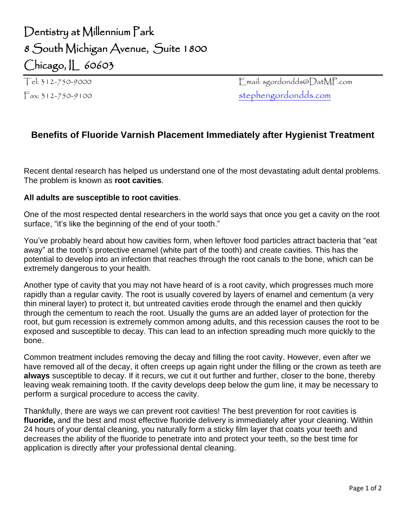## Dentistry at Millennium Park 8 South Michigan Avenue, Suite 1800 Chicago, IL 60603

Tel: 312-750-9000 Email: sgordondds@DatMP.com Fax: 312-750-9100 [stephengordondds.com](http://www.datmp.com/)

## **Benefits of Fluoride Varnish Placement Immediately after Hygienist Treatment**

Recent dental research has helped us understand one of the most devastating adult dental problems. The problem is known as **root cavities**.

## **All adults are susceptible to root cavities**.

One of the most respected dental researchers in the world says that once you get a cavity on the root surface, "it's like the beginning of the end of your tooth."

You've probably heard about how cavities form, when leftover food particles attract bacteria that "eat away" at the tooth's protective enamel (white part of the tooth) and create cavities. This has the potential to develop into an infection that reaches through the root canals to the bone, which can be extremely dangerous to your health.

Another type of cavity that you may not have heard of is a root cavity, which progresses much more rapidly than a regular cavity. The root is usually covered by layers of enamel and cementum (a very thin mineral layer) to protect it, but untreated cavities erode through the enamel and then quickly through the cementum to reach the root. Usually the gums are an added layer of protection for the root, but gum recession is extremely common among adults, and this recession causes the root to be exposed and susceptible to decay. This can lead to an infection spreading much more quickly to the bone.

Common treatment includes removing the decay and filling the root cavity. However, even after we have removed all of the decay, it often creeps up again right under the filling or the crown as teeth are **always** susceptible to decay. If it recurs, we cut it out further and further, closer to the bone, thereby leaving weak remaining tooth. If the cavity develops deep below the gum line, it may be necessary to perform a surgical procedure to access the cavity.

Thankfully, there are ways we can prevent root cavities! The best prevention for root cavities is **fluoride,** and the best and most effective fluoride delivery is immediately after your cleaning. Within 24 hours of your dental cleaning, you naturally form a sticky film layer that coats your teeth and decreases the ability of the fluoride to penetrate into and protect your teeth, so the best time for application is directly after your professional dental cleaning.